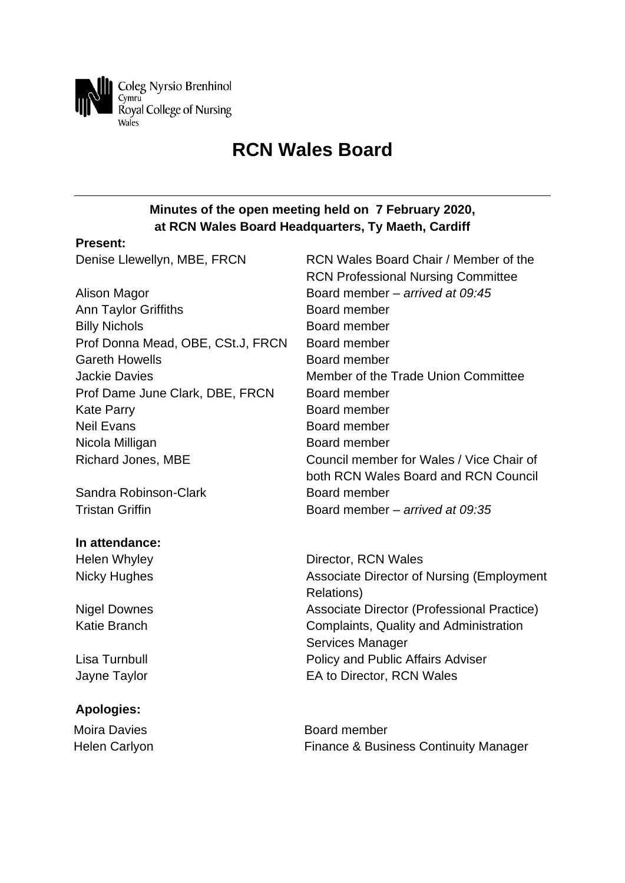

# **RCN Wales Board**

## **Minutes of the open meeting held on 7 February 2020, at RCN Wales Board Headquarters, Ty Maeth, Cardiff**

## **Present:**

| Denise Llewellyn, MBE, FRCN       | RCN Wales Board Chair / Member of the                          |
|-----------------------------------|----------------------------------------------------------------|
|                                   | <b>RCN Professional Nursing Committee</b>                      |
| Alison Magor                      | Board member - arrived at 09:45                                |
| <b>Ann Taylor Griffiths</b>       | Board member                                                   |
| <b>Billy Nichols</b>              | Board member                                                   |
| Prof Donna Mead, OBE, CSt.J, FRCN | Board member                                                   |
| <b>Gareth Howells</b>             | Board member                                                   |
| <b>Jackie Davies</b>              | Member of the Trade Union Committee                            |
| Prof Dame June Clark, DBE, FRCN   | Board member                                                   |
| <b>Kate Parry</b>                 | Board member                                                   |
| <b>Neil Evans</b>                 | Board member                                                   |
| Nicola Milligan                   | Board member                                                   |
| <b>Richard Jones, MBE</b>         | Council member for Wales / Vice Chair of                       |
|                                   | both RCN Wales Board and RCN Council                           |
| Sandra Robinson-Clark             | Board member                                                   |
| <b>Tristan Griffin</b>            | Board member - arrived at 09:35                                |
| In attendance:                    |                                                                |
| Helen Whyley                      | Director, RCN Wales                                            |
| <b>Nicky Hughes</b>               | <b>Associate Director of Nursing (Employment</b><br>Relations) |
| <b>Nigel Downes</b>               | Associate Director (Professional Practice)                     |
| <b>Katie Branch</b>               | Complaints, Quality and Administration                         |
|                                   | Services Manager                                               |
| Lisa Turnbull                     | Policy and Public Affairs Adviser                              |
| Jayne Taylor                      | EA to Director, RCN Wales                                      |
| <b>Apologies:</b>                 |                                                                |
| <b>Moira Davies</b>               | Board member                                                   |

Helen Carlyon **Finance & Business Continuity Manager**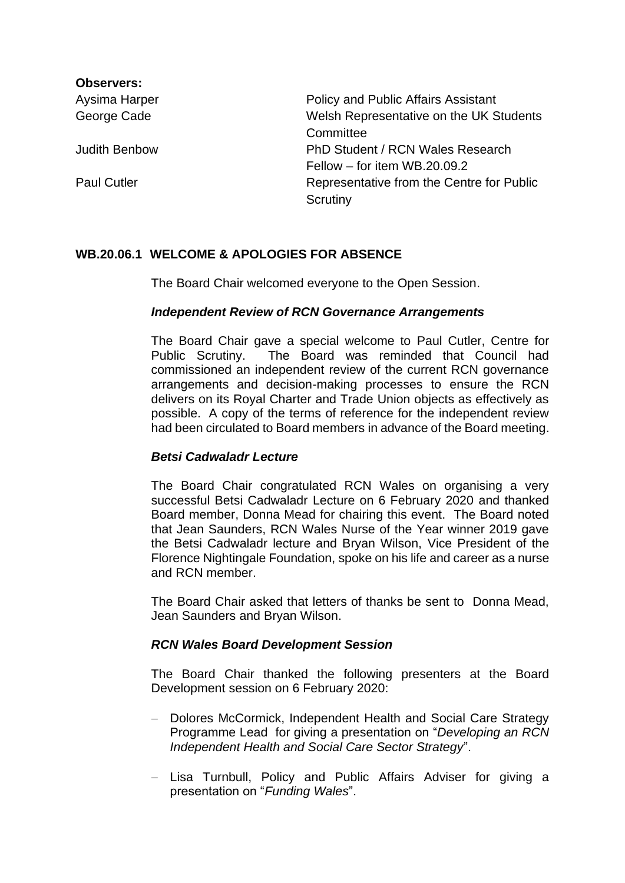| <b>Observers:</b>    |                                            |
|----------------------|--------------------------------------------|
| Aysima Harper        | <b>Policy and Public Affairs Assistant</b> |
| George Cade          | Welsh Representative on the UK Students    |
|                      | Committee                                  |
| <b>Judith Benbow</b> | PhD Student / RCN Wales Research           |
|                      | Fellow – for item $WB.20.09.2$             |
| <b>Paul Cutler</b>   | Representative from the Centre for Public  |
|                      | Scrutiny                                   |

## **WB.20.06.1 WELCOME & APOLOGIES FOR ABSENCE**

The Board Chair welcomed everyone to the Open Session.

## *Independent Review of RCN Governance Arrangements*

The Board Chair gave a special welcome to Paul Cutler, Centre for Public Scrutiny. The Board was reminded that Council had commissioned an independent review of the current RCN governance arrangements and decision-making processes to ensure the RCN delivers on its Royal Charter and Trade Union objects as effectively as possible. A copy of the terms of reference for the independent review had been circulated to Board members in advance of the Board meeting.

## *Betsi Cadwaladr Lecture*

The Board Chair congratulated RCN Wales on organising a very successful Betsi Cadwaladr Lecture on 6 February 2020 and thanked Board member, Donna Mead for chairing this event. The Board noted that Jean Saunders, RCN Wales Nurse of the Year winner 2019 gave the Betsi Cadwaladr lecture and Bryan Wilson, Vice President of the Florence Nightingale Foundation, spoke on his life and career as a nurse and RCN member.

The Board Chair asked that letters of thanks be sent to Donna Mead, Jean Saunders and Bryan Wilson.

## *RCN Wales Board Development Session*

The Board Chair thanked the following presenters at the Board Development session on 6 February 2020:

- − Dolores McCormick, Independent Health and Social Care Strategy Programme Lead for giving a presentation on "*Developing an RCN Independent Health and Social Care Sector Strategy*".
- − Lisa Turnbull, Policy and Public Affairs Adviser for giving a presentation on "*Funding Wales*".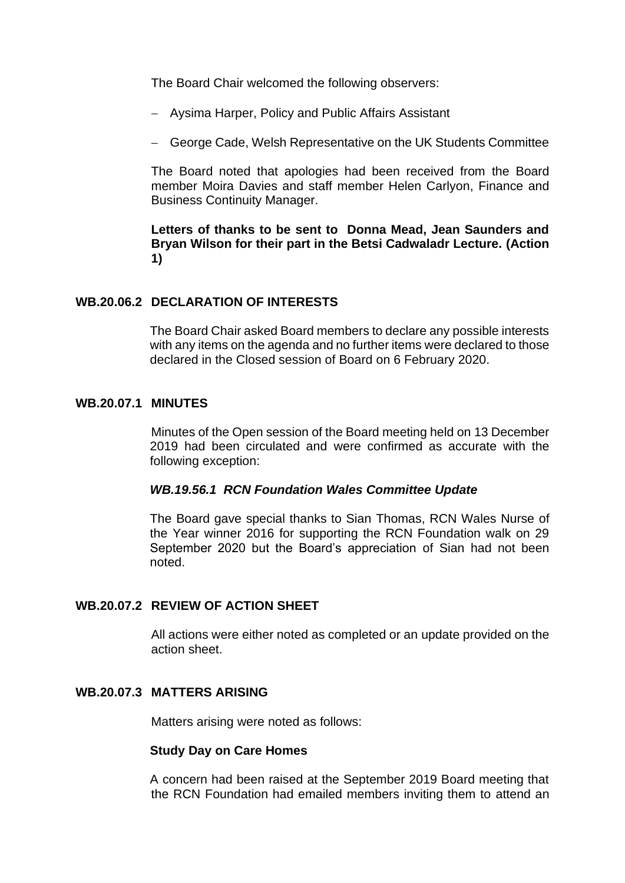The Board Chair welcomed the following observers:

- − Aysima Harper, Policy and Public Affairs Assistant
- − George Cade, Welsh Representative on the UK Students Committee

The Board noted that apologies had been received from the Board member Moira Davies and staff member Helen Carlyon, Finance and Business Continuity Manager.

## **Letters of thanks to be sent to Donna Mead, Jean Saunders and Bryan Wilson for their part in the Betsi Cadwaladr Lecture. (Action 1)**

#### **WB.20.06.2 DECLARATION OF INTERESTS**

The Board Chair asked Board members to declare any possible interests with any items on the agenda and no further items were declared to those declared in the Closed session of Board on 6 February 2020.

#### **WB.20.07.1 MINUTES**

Minutes of the Open session of the Board meeting held on 13 December 2019 had been circulated and were confirmed as accurate with the following exception:

#### *WB.19.56.1 RCN Foundation Wales Committee Update*

The Board gave special thanks to Sian Thomas, RCN Wales Nurse of the Year winner 2016 for supporting the RCN Foundation walk on 29 September 2020 but the Board's appreciation of Sian had not been noted.

## **WB.20.07.2 REVIEW OF ACTION SHEET**

All actions were either noted as completed or an update provided on the action sheet.

#### **WB.20.07.3 MATTERS ARISING**

Matters arising were noted as follows:

#### **Study Day on Care Homes**

A concern had been raised at the September 2019 Board meeting that the RCN Foundation had emailed members inviting them to attend an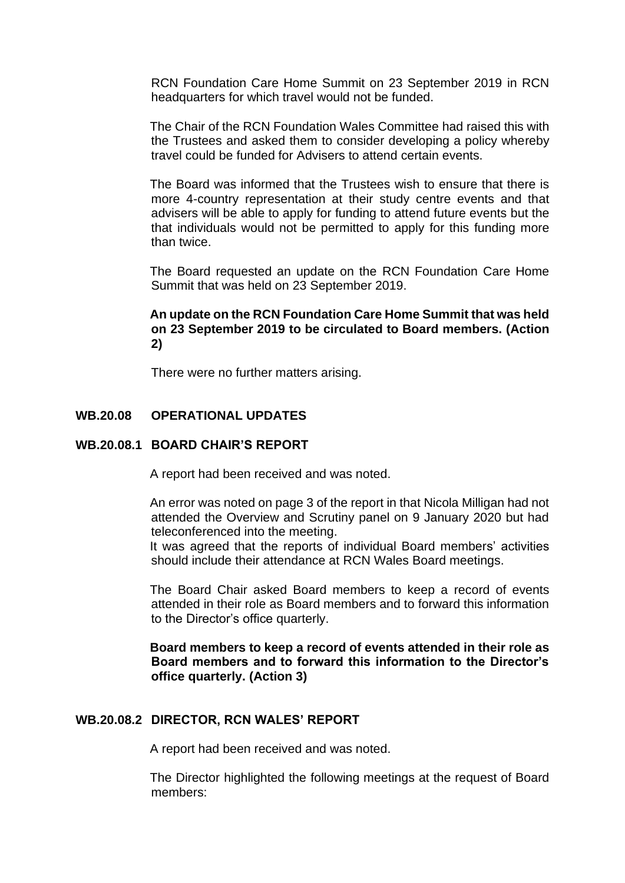RCN Foundation Care Home Summit on 23 September 2019 in RCN headquarters for which travel would not be funded.

The Chair of the RCN Foundation Wales Committee had raised this with the Trustees and asked them to consider developing a policy whereby travel could be funded for Advisers to attend certain events.

The Board was informed that the Trustees wish to ensure that there is more 4-country representation at their study centre events and that advisers will be able to apply for funding to attend future events but the that individuals would not be permitted to apply for this funding more than twice.

The Board requested an update on the RCN Foundation Care Home Summit that was held on 23 September 2019.

#### **An update on the RCN Foundation Care Home Summit that was held on 23 September 2019 to be circulated to Board members. (Action 2)**

There were no further matters arising.

## **WB.20.08 OPERATIONAL UPDATES**

#### **WB.20.08.1 BOARD CHAIR'S REPORT**

A report had been received and was noted.

An error was noted on page 3 of the report in that Nicola Milligan had not attended the Overview and Scrutiny panel on 9 January 2020 but had teleconferenced into the meeting.

It was agreed that the reports of individual Board members' activities should include their attendance at RCN Wales Board meetings.

The Board Chair asked Board members to keep a record of events attended in their role as Board members and to forward this information to the Director's office quarterly.

**Board members to keep a record of events attended in their role as Board members and to forward this information to the Director's office quarterly. (Action 3)**

#### **WB.20.08.2 DIRECTOR, RCN WALES' REPORT**

A report had been received and was noted.

The Director highlighted the following meetings at the request of Board members: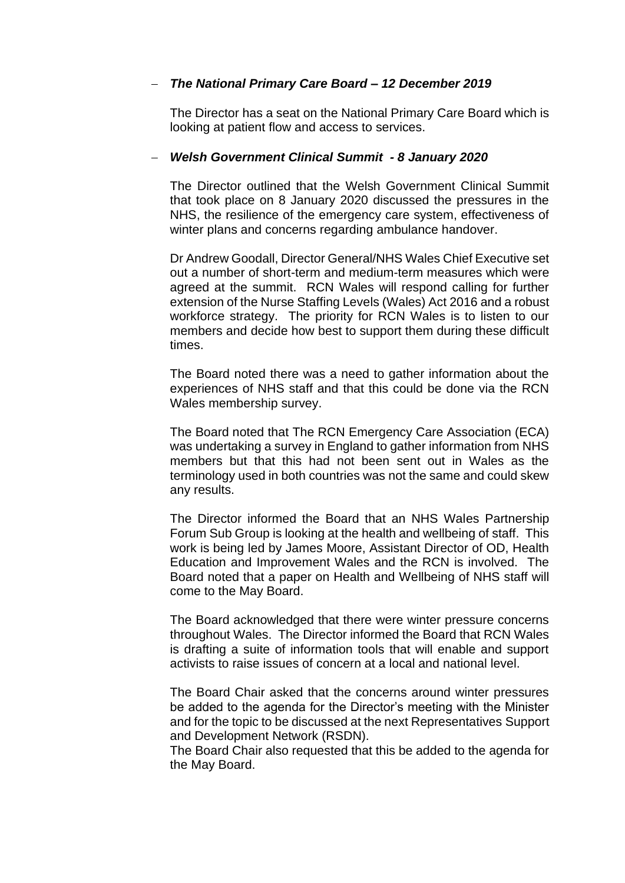## − *The National Primary Care Board – 12 December 2019*

The Director has a seat on the National Primary Care Board which is looking at patient flow and access to services.

#### − *Welsh Government Clinical Summit - 8 January 2020*

The Director outlined that the Welsh Government Clinical Summit that took place on 8 January 2020 discussed the pressures in the NHS, the resilience of the emergency care system, effectiveness of winter plans and concerns regarding ambulance handover.

Dr Andrew Goodall, Director General/NHS Wales Chief Executive set out a number of short-term and medium-term measures which were agreed at the summit. RCN Wales will respond calling for further extension of the Nurse Staffing Levels (Wales) Act 2016 and a robust workforce strategy. The priority for RCN Wales is to listen to our members and decide how best to support them during these difficult times.

The Board noted there was a need to gather information about the experiences of NHS staff and that this could be done via the RCN Wales membership survey.

The Board noted that The RCN Emergency Care Association (ECA) was undertaking a survey in England to gather information from NHS members but that this had not been sent out in Wales as the terminology used in both countries was not the same and could skew any results.

The Director informed the Board that an NHS Wales Partnership Forum Sub Group is looking at the health and wellbeing of staff. This work is being led by James Moore, Assistant Director of OD, Health Education and Improvement Wales and the RCN is involved. The Board noted that a paper on Health and Wellbeing of NHS staff will come to the May Board.

The Board acknowledged that there were winter pressure concerns throughout Wales. The Director informed the Board that RCN Wales is drafting a suite of information tools that will enable and support activists to raise issues of concern at a local and national level.

The Board Chair asked that the concerns around winter pressures be added to the agenda for the Director's meeting with the Minister and for the topic to be discussed at the next Representatives Support and Development Network (RSDN).

The Board Chair also requested that this be added to the agenda for the May Board.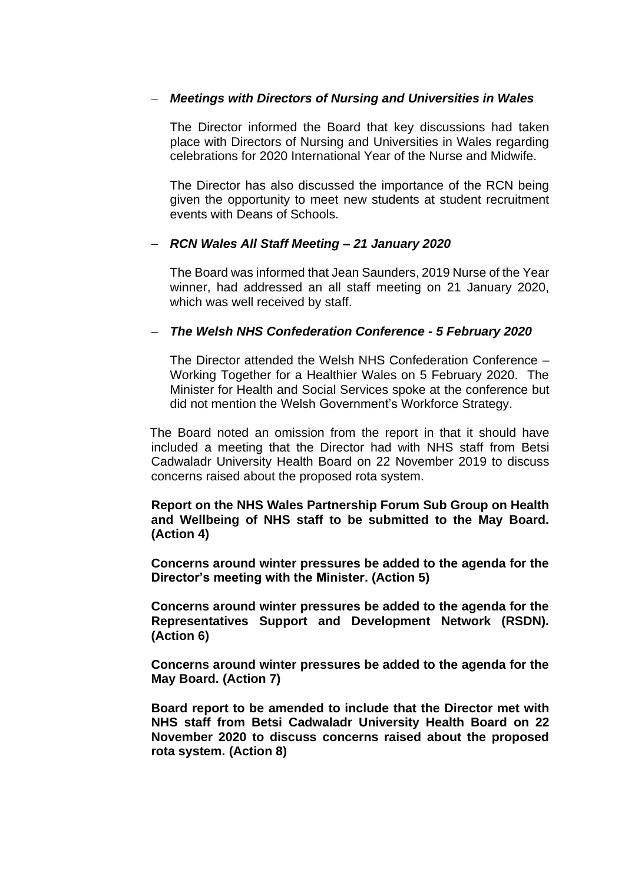#### − *Meetings with Directors of Nursing and Universities in Wales*

The Director informed the Board that key discussions had taken place with Directors of Nursing and Universities in Wales regarding celebrations for 2020 International Year of the Nurse and Midwife.

The Director has also discussed the importance of the RCN being given the opportunity to meet new students at student recruitment events with Deans of Schools.

#### − *RCN Wales All Staff Meeting – 21 January 2020*

The Board was informed that Jean Saunders, 2019 Nurse of the Year winner, had addressed an all staff meeting on 21 January 2020, which was well received by staff.

#### − *The Welsh NHS Confederation Conference - 5 February 2020*

The Director attended the Welsh NHS Confederation Conference – Working Together for a Healthier Wales on 5 February 2020. The Minister for Health and Social Services spoke at the conference but did not mention the Welsh Government's Workforce Strategy.

The Board noted an omission from the report in that it should have included a meeting that the Director had with NHS staff from Betsi Cadwaladr University Health Board on 22 November 2019 to discuss concerns raised about the proposed rota system.

**Report on the NHS Wales Partnership Forum Sub Group on Health and Wellbeing of NHS staff to be submitted to the May Board. (Action 4)**

**Concerns around winter pressures be added to the agenda for the Director's meeting with the Minister. (Action 5)**

**Concerns around winter pressures be added to the agenda for the Representatives Support and Development Network (RSDN). (Action 6)**

**Concerns around winter pressures be added to the agenda for the May Board. (Action 7)**

**Board report to be amended to include that the Director met with NHS staff from Betsi Cadwaladr University Health Board on 22 November 2020 to discuss concerns raised about the proposed rota system. (Action 8)**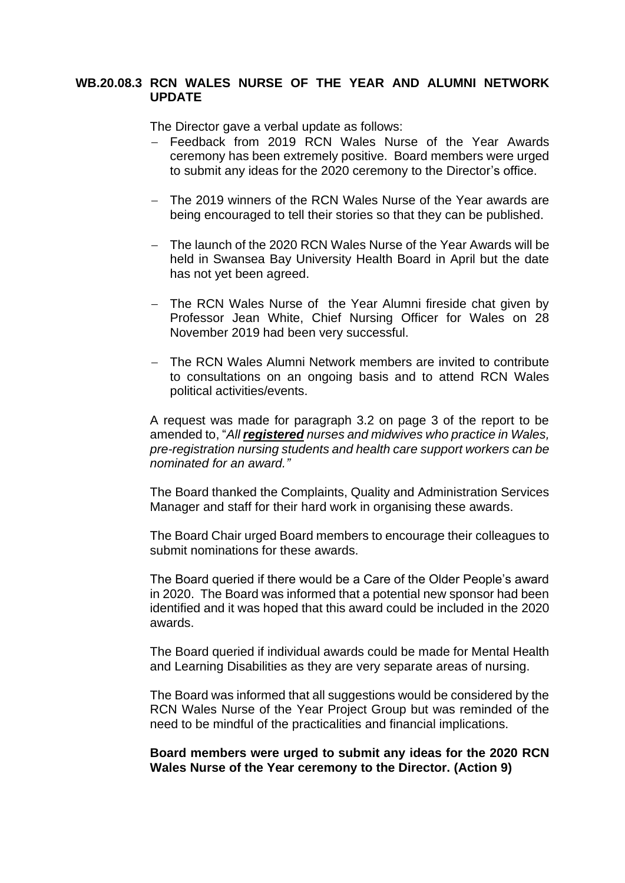## **WB.20.08.3 RCN WALES NURSE OF THE YEAR AND ALUMNI NETWORK UPDATE**

The Director gave a verbal update as follows:

- − Feedback from 2019 RCN Wales Nurse of the Year Awards ceremony has been extremely positive. Board members were urged to submit any ideas for the 2020 ceremony to the Director's office.
- − The 2019 winners of the RCN Wales Nurse of the Year awards are being encouraged to tell their stories so that they can be published.
- − The launch of the 2020 RCN Wales Nurse of the Year Awards will be held in Swansea Bay University Health Board in April but the date has not yet been agreed.
- − The RCN Wales Nurse of the Year Alumni fireside chat given by Professor Jean White, Chief Nursing Officer for Wales on 28 November 2019 had been very successful.
- − The RCN Wales Alumni Network members are invited to contribute to consultations on an ongoing basis and to attend RCN Wales political activities/events.

A request was made for paragraph 3.2 on page 3 of the report to be amended to, "*All registered nurses and midwives who practice in Wales, pre-registration nursing students and health care support workers can be nominated for an award."*

The Board thanked the Complaints, Quality and Administration Services Manager and staff for their hard work in organising these awards.

The Board Chair urged Board members to encourage their colleagues to submit nominations for these awards.

The Board queried if there would be a Care of the Older People's award in 2020. The Board was informed that a potential new sponsor had been identified and it was hoped that this award could be included in the 2020 awards.

The Board queried if individual awards could be made for Mental Health and Learning Disabilities as they are very separate areas of nursing.

The Board was informed that all suggestions would be considered by the RCN Wales Nurse of the Year Project Group but was reminded of the need to be mindful of the practicalities and financial implications.

**Board members were urged to submit any ideas for the 2020 RCN Wales Nurse of the Year ceremony to the Director. (Action 9)**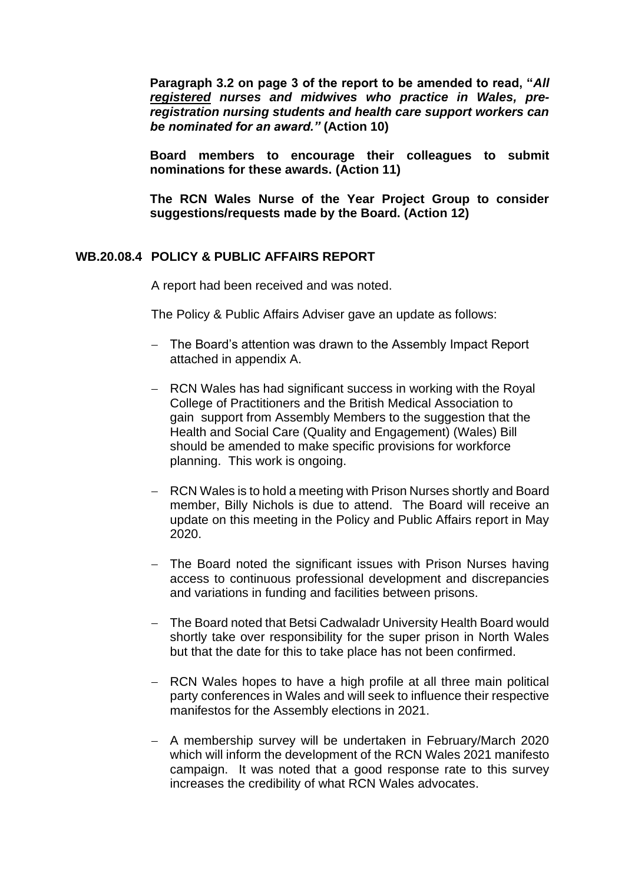**Paragraph 3.2 on page 3 of the report to be amended to read, "***All registered nurses and midwives who practice in Wales, preregistration nursing students and health care support workers can be nominated for an award."* **(Action 10)**

**Board members to encourage their colleagues to submit nominations for these awards. (Action 11)**

**The RCN Wales Nurse of the Year Project Group to consider suggestions/requests made by the Board. (Action 12)**

#### **WB.20.08.4 POLICY & PUBLIC AFFAIRS REPORT**

A report had been received and was noted.

The Policy & Public Affairs Adviser gave an update as follows:

- − The Board's attention was drawn to the Assembly Impact Report attached in appendix A.
- − RCN Wales has had significant success in working with the Royal College of Practitioners and the British Medical Association to gain support from Assembly Members to the suggestion that the Health and Social Care (Quality and Engagement) (Wales) Bill should be amended to make specific provisions for workforce planning. This work is ongoing.
- − RCN Wales is to hold a meeting with Prison Nurses shortly and Board member, Billy Nichols is due to attend. The Board will receive an update on this meeting in the Policy and Public Affairs report in May 2020.
- − The Board noted the significant issues with Prison Nurses having access to continuous professional development and discrepancies and variations in funding and facilities between prisons.
- − The Board noted that Betsi Cadwaladr University Health Board would shortly take over responsibility for the super prison in North Wales but that the date for this to take place has not been confirmed.
- − RCN Wales hopes to have a high profile at all three main political party conferences in Wales and will seek to influence their respective manifestos for the Assembly elections in 2021.
- − A membership survey will be undertaken in February/March 2020 which will inform the development of the RCN Wales 2021 manifesto campaign. It was noted that a good response rate to this survey increases the credibility of what RCN Wales advocates.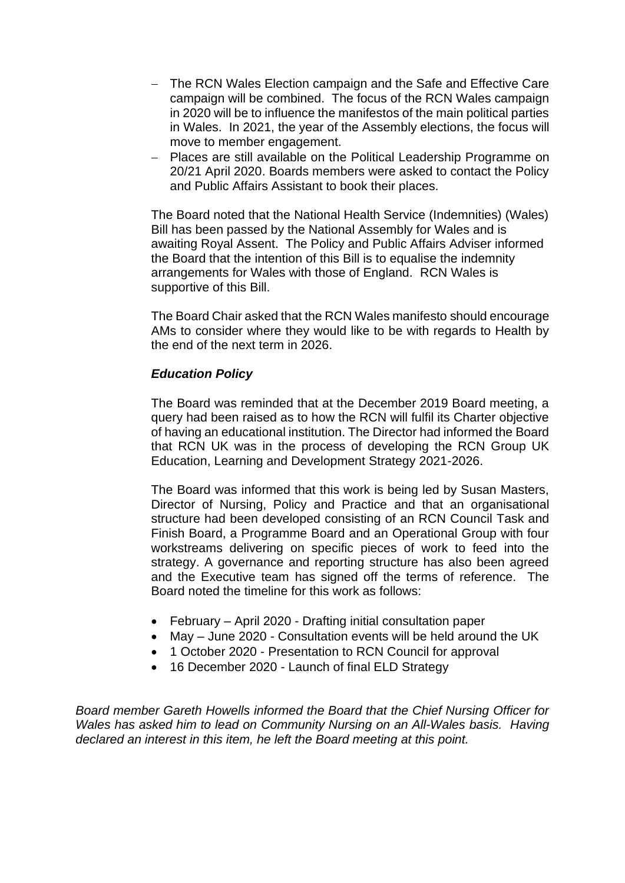- − The RCN Wales Election campaign and the Safe and Effective Care campaign will be combined. The focus of the RCN Wales campaign in 2020 will be to influence the manifestos of the main political parties in Wales. In 2021, the year of the Assembly elections, the focus will move to member engagement.
- − Places are still available on the Political Leadership Programme on 20/21 April 2020. Boards members were asked to contact the Policy and Public Affairs Assistant to book their places.

The Board noted that the National Health Service (Indemnities) (Wales) Bill has been passed by the National Assembly for Wales and is awaiting Royal Assent. The Policy and Public Affairs Adviser informed the Board that the intention of this Bill is to equalise the indemnity arrangements for Wales with those of England. RCN Wales is supportive of this Bill.

The Board Chair asked that the RCN Wales manifesto should encourage AMs to consider where they would like to be with regards to Health by the end of the next term in 2026.

#### *Education Policy*

The Board was reminded that at the December 2019 Board meeting, a query had been raised as to how the RCN will fulfil its Charter objective of having an educational institution. The Director had informed the Board that RCN UK was in the process of developing the RCN Group UK Education, Learning and Development Strategy 2021-2026.

The Board was informed that this work is being led by Susan Masters, Director of Nursing, Policy and Practice and that an organisational structure had been developed consisting of an RCN Council Task and Finish Board, a Programme Board and an Operational Group with four workstreams delivering on specific pieces of work to feed into the strategy. A governance and reporting structure has also been agreed and the Executive team has signed off the terms of reference. The Board noted the timeline for this work as follows:

- February April 2020 Drafting initial consultation paper
- May June 2020 Consultation events will be held around the UK
- 1 October 2020 Presentation to RCN Council for approval
- 16 December 2020 Launch of final ELD Strategy

*Board member Gareth Howells informed the Board that the Chief Nursing Officer for Wales has asked him to lead on Community Nursing on an All-Wales basis. Having declared an interest in this item, he left the Board meeting at this point.*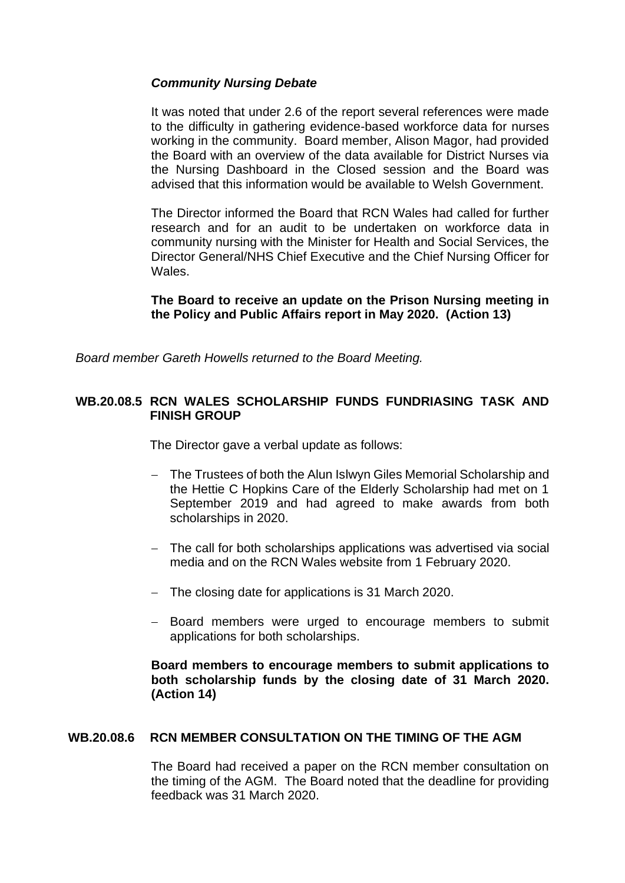## *Community Nursing Debate*

It was noted that under 2.6 of the report several references were made to the difficulty in gathering evidence-based workforce data for nurses working in the community. Board member, Alison Magor, had provided the Board with an overview of the data available for District Nurses via the Nursing Dashboard in the Closed session and the Board was advised that this information would be available to Welsh Government.

The Director informed the Board that RCN Wales had called for further research and for an audit to be undertaken on workforce data in community nursing with the Minister for Health and Social Services, the Director General/NHS Chief Executive and the Chief Nursing Officer for Wales.

## **The Board to receive an update on the Prison Nursing meeting in the Policy and Public Affairs report in May 2020. (Action 13)**

*Board member Gareth Howells returned to the Board Meeting.*

## **WB.20.08.5 RCN WALES SCHOLARSHIP FUNDS FUNDRIASING TASK AND FINISH GROUP**

The Director gave a verbal update as follows:

- − The Trustees of both the Alun Islwyn Giles Memorial Scholarship and the Hettie C Hopkins Care of the Elderly Scholarship had met on 1 September 2019 and had agreed to make awards from both scholarships in 2020.
- − The call for both scholarships applications was advertised via social media and on the RCN Wales website from 1 February 2020.
- − The closing date for applications is 31 March 2020.
- − Board members were urged to encourage members to submit applications for both scholarships.

## **Board members to encourage members to submit applications to both scholarship funds by the closing date of 31 March 2020. (Action 14)**

## **WB.20.08.6 RCN MEMBER CONSULTATION ON THE TIMING OF THE AGM**

The Board had received a paper on the RCN member consultation on the timing of the AGM. The Board noted that the deadline for providing feedback was 31 March 2020.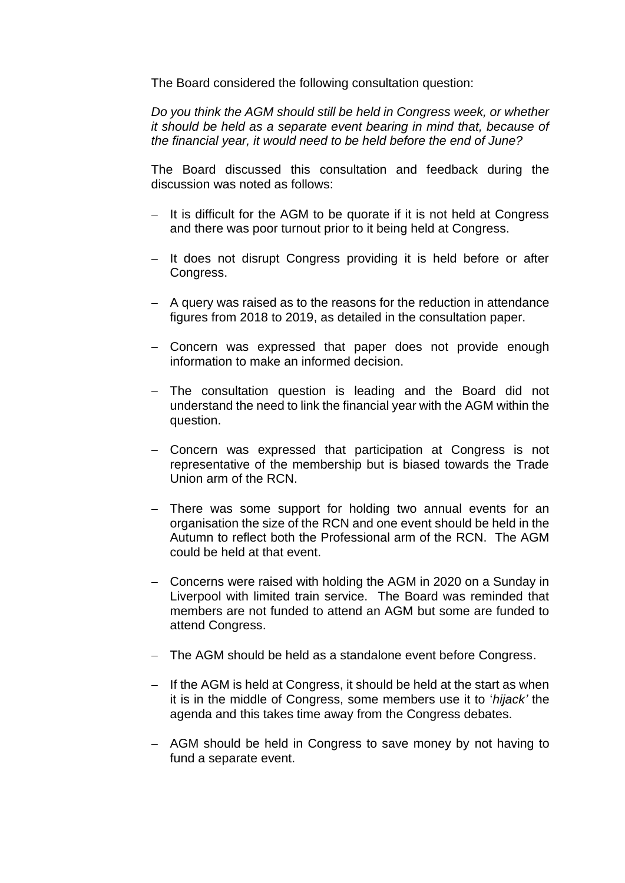The Board considered the following consultation question:

*Do you think the AGM should still be held in Congress week, or whether it should be held as a separate event bearing in mind that, because of the financial year, it would need to be held before the end of June?*

The Board discussed this consultation and feedback during the discussion was noted as follows:

- − It is difficult for the AGM to be quorate if it is not held at Congress and there was poor turnout prior to it being held at Congress.
- − It does not disrupt Congress providing it is held before or after Congress.
- − A query was raised as to the reasons for the reduction in attendance figures from 2018 to 2019, as detailed in the consultation paper.
- − Concern was expressed that paper does not provide enough information to make an informed decision.
- − The consultation question is leading and the Board did not understand the need to link the financial year with the AGM within the question.
- − Concern was expressed that participation at Congress is not representative of the membership but is biased towards the Trade Union arm of the RCN.
- − There was some support for holding two annual events for an organisation the size of the RCN and one event should be held in the Autumn to reflect both the Professional arm of the RCN. The AGM could be held at that event.
- − Concerns were raised with holding the AGM in 2020 on a Sunday in Liverpool with limited train service. The Board was reminded that members are not funded to attend an AGM but some are funded to attend Congress.
- − The AGM should be held as a standalone event before Congress.
- − If the AGM is held at Congress, it should be held at the start as when it is in the middle of Congress, some members use it to '*hijack'* the agenda and this takes time away from the Congress debates.
- − AGM should be held in Congress to save money by not having to fund a separate event.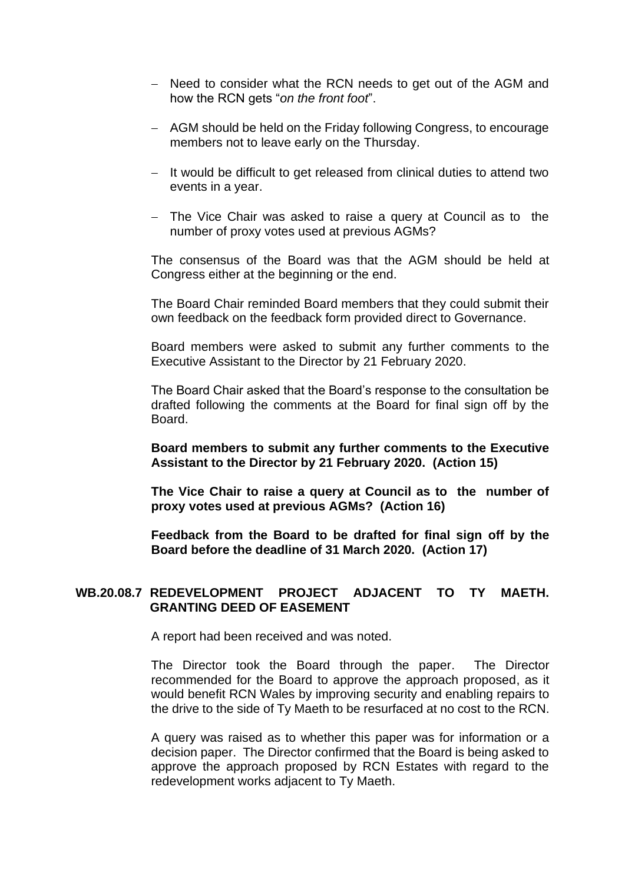- − Need to consider what the RCN needs to get out of the AGM and how the RCN gets "*on the front foot*".
- − AGM should be held on the Friday following Congress, to encourage members not to leave early on the Thursday.
- − It would be difficult to get released from clinical duties to attend two events in a year.
- − The Vice Chair was asked to raise a query at Council as to the number of proxy votes used at previous AGMs?

The consensus of the Board was that the AGM should be held at Congress either at the beginning or the end.

The Board Chair reminded Board members that they could submit their own feedback on the feedback form provided direct to Governance.

Board members were asked to submit any further comments to the Executive Assistant to the Director by 21 February 2020.

The Board Chair asked that the Board's response to the consultation be drafted following the comments at the Board for final sign off by the Board.

**Board members to submit any further comments to the Executive Assistant to the Director by 21 February 2020. (Action 15)**

**The Vice Chair to raise a query at Council as to the number of proxy votes used at previous AGMs? (Action 16)**

**Feedback from the Board to be drafted for final sign off by the Board before the deadline of 31 March 2020. (Action 17)**

#### **WB.20.08.7 REDEVELOPMENT PROJECT ADJACENT TO TY MAETH. GRANTING DEED OF EASEMENT**

A report had been received and was noted.

The Director took the Board through the paper. The Director recommended for the Board to approve the approach proposed, as it would benefit RCN Wales by improving security and enabling repairs to the drive to the side of Ty Maeth to be resurfaced at no cost to the RCN.

A query was raised as to whether this paper was for information or a decision paper. The Director confirmed that the Board is being asked to approve the approach proposed by RCN Estates with regard to the redevelopment works adjacent to Ty Maeth.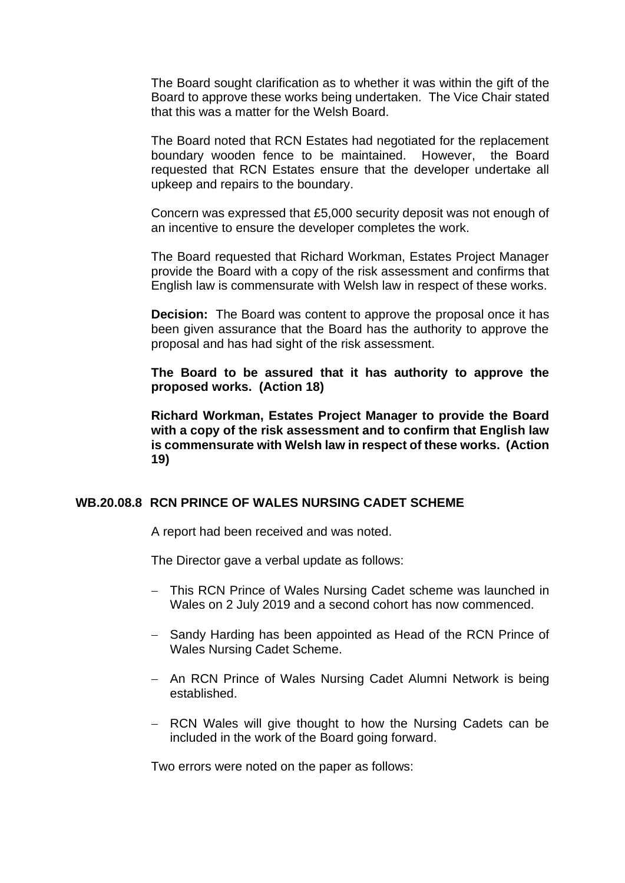The Board sought clarification as to whether it was within the gift of the Board to approve these works being undertaken. The Vice Chair stated that this was a matter for the Welsh Board.

The Board noted that RCN Estates had negotiated for the replacement boundary wooden fence to be maintained. However, the Board requested that RCN Estates ensure that the developer undertake all upkeep and repairs to the boundary.

Concern was expressed that £5,000 security deposit was not enough of an incentive to ensure the developer completes the work.

The Board requested that Richard Workman, Estates Project Manager provide the Board with a copy of the risk assessment and confirms that English law is commensurate with Welsh law in respect of these works.

**Decision:** The Board was content to approve the proposal once it has been given assurance that the Board has the authority to approve the proposal and has had sight of the risk assessment.

**The Board to be assured that it has authority to approve the proposed works. (Action 18)**

**Richard Workman, Estates Project Manager to provide the Board with a copy of the risk assessment and to confirm that English law is commensurate with Welsh law in respect of these works. (Action 19)**

#### **WB.20.08.8 RCN PRINCE OF WALES NURSING CADET SCHEME**

A report had been received and was noted.

The Director gave a verbal update as follows:

- − This RCN Prince of Wales Nursing Cadet scheme was launched in Wales on 2 July 2019 and a second cohort has now commenced.
- − Sandy Harding has been appointed as Head of the RCN Prince of Wales Nursing Cadet Scheme.
- − An RCN Prince of Wales Nursing Cadet Alumni Network is being established.
- − RCN Wales will give thought to how the Nursing Cadets can be included in the work of the Board going forward.

Two errors were noted on the paper as follows: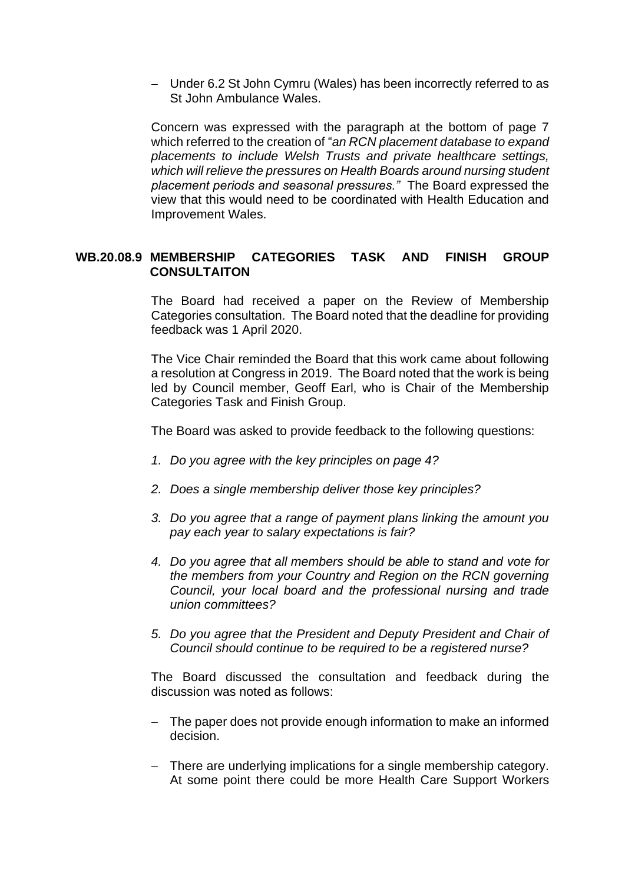− Under 6.2 St John Cymru (Wales) has been incorrectly referred to as St John Ambulance Wales.

Concern was expressed with the paragraph at the bottom of page 7 which referred to the creation of "*an RCN placement database to expand placements to include Welsh Trusts and private healthcare settings, which will relieve the pressures on Health Boards around nursing student placement periods and seasonal pressures."* The Board expressed the view that this would need to be coordinated with Health Education and Improvement Wales.

## **WB.20.08.9 MEMBERSHIP CATEGORIES TASK AND FINISH GROUP CONSULTAITON**

The Board had received a paper on the Review of Membership Categories consultation. The Board noted that the deadline for providing feedback was 1 April 2020.

The Vice Chair reminded the Board that this work came about following a resolution at Congress in 2019. The Board noted that the work is being led by Council member, Geoff Earl, who is Chair of the Membership Categories Task and Finish Group.

The Board was asked to provide feedback to the following questions:

- *1. Do you agree with the key principles on page 4?*
- *2. Does a single membership deliver those key principles?*
- *3. Do you agree that a range of payment plans linking the amount you pay each year to salary expectations is fair?*
- *4. Do you agree that all members should be able to stand and vote for the members from your Country and Region on the RCN governing Council, your local board and the professional nursing and trade union committees?*
- *5. Do you agree that the President and Deputy President and Chair of Council should continue to be required to be a registered nurse?*

The Board discussed the consultation and feedback during the discussion was noted as follows:

- − The paper does not provide enough information to make an informed decision.
- − There are underlying implications for a single membership category. At some point there could be more Health Care Support Workers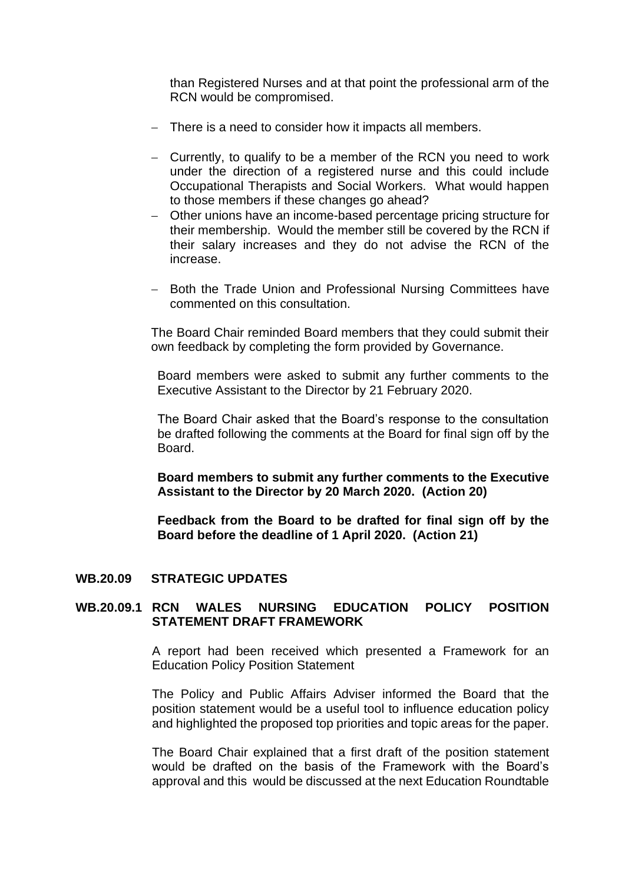than Registered Nurses and at that point the professional arm of the RCN would be compromised.

- − There is a need to consider how it impacts all members.
- − Currently, to qualify to be a member of the RCN you need to work under the direction of a registered nurse and this could include Occupational Therapists and Social Workers. What would happen to those members if these changes go ahead?
- − Other unions have an income-based percentage pricing structure for their membership. Would the member still be covered by the RCN if their salary increases and they do not advise the RCN of the increase.
- − Both the Trade Union and Professional Nursing Committees have commented on this consultation.

The Board Chair reminded Board members that they could submit their own feedback by completing the form provided by Governance.

Board members were asked to submit any further comments to the Executive Assistant to the Director by 21 February 2020.

The Board Chair asked that the Board's response to the consultation be drafted following the comments at the Board for final sign off by the Board.

**Board members to submit any further comments to the Executive Assistant to the Director by 20 March 2020. (Action 20)**

**Feedback from the Board to be drafted for final sign off by the Board before the deadline of 1 April 2020. (Action 21)**

#### **WB.20.09 STRATEGIC UPDATES**

#### **WB.20.09.1 RCN WALES NURSING EDUCATION POLICY POSITION STATEMENT DRAFT FRAMEWORK**

A report had been received which presented a Framework for an Education Policy Position Statement

The Policy and Public Affairs Adviser informed the Board that the position statement would be a useful tool to influence education policy and highlighted the proposed top priorities and topic areas for the paper.

The Board Chair explained that a first draft of the position statement would be drafted on the basis of the Framework with the Board's approval and this would be discussed at the next Education Roundtable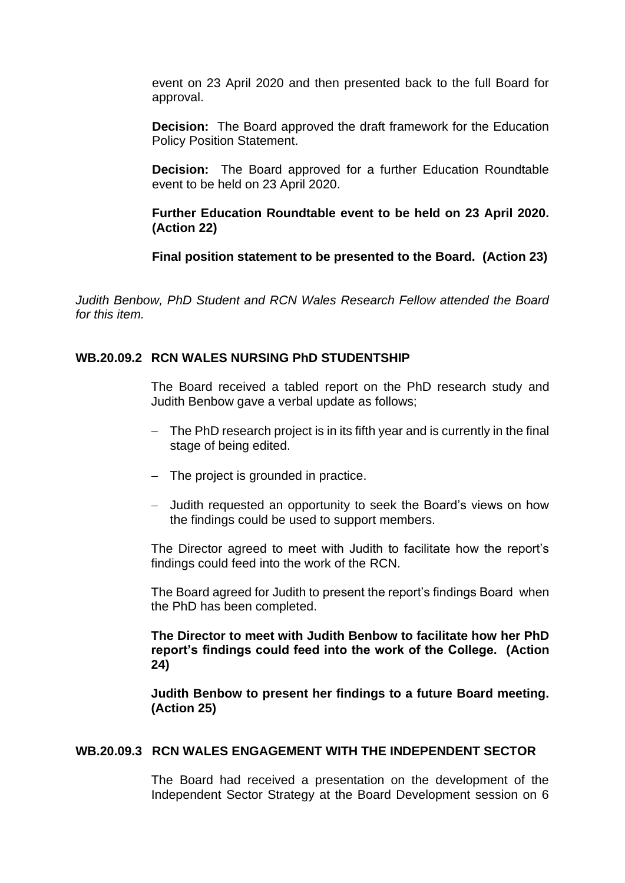event on 23 April 2020 and then presented back to the full Board for approval.

**Decision:** The Board approved the draft framework for the Education Policy Position Statement.

**Decision:** The Board approved for a further Education Roundtable event to be held on 23 April 2020.

**Further Education Roundtable event to be held on 23 April 2020. (Action 22)**

**Final position statement to be presented to the Board. (Action 23)**

*Judith Benbow, PhD Student and RCN Wales Research Fellow attended the Board for this item.*

#### **WB.20.09.2 RCN WALES NURSING PhD STUDENTSHIP**

The Board received a tabled report on the PhD research study and Judith Benbow gave a verbal update as follows;

- − The PhD research project is in its fifth year and is currently in the final stage of being edited.
- − The project is grounded in practice.
- − Judith requested an opportunity to seek the Board's views on how the findings could be used to support members.

The Director agreed to meet with Judith to facilitate how the report's findings could feed into the work of the RCN.

The Board agreed for Judith to present the report's findings Board when the PhD has been completed.

**The Director to meet with Judith Benbow to facilitate how her PhD report's findings could feed into the work of the College. (Action 24)**

**Judith Benbow to present her findings to a future Board meeting. (Action 25)**

#### **WB.20.09.3 RCN WALES ENGAGEMENT WITH THE INDEPENDENT SECTOR**

The Board had received a presentation on the development of the Independent Sector Strategy at the Board Development session on 6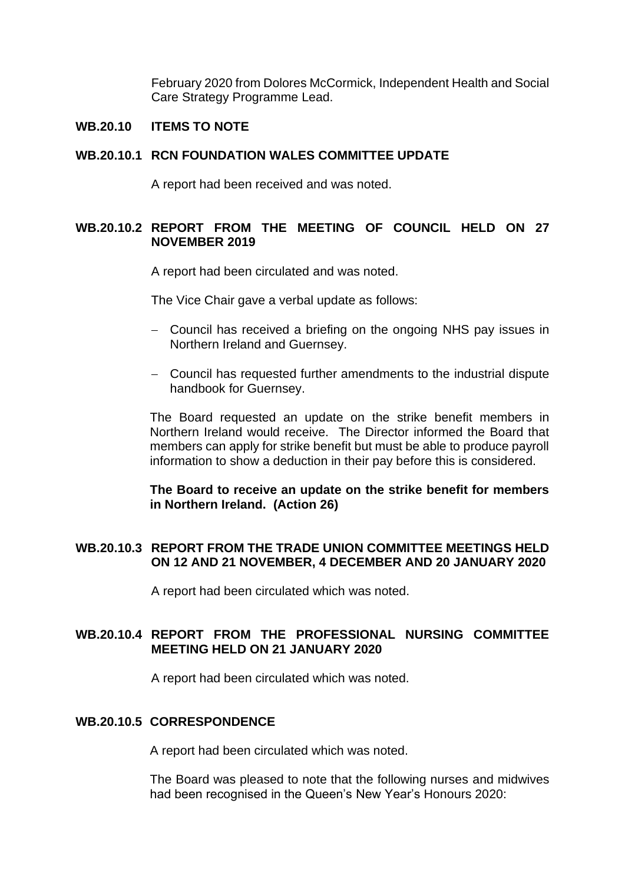February 2020 from Dolores McCormick, Independent Health and Social Care Strategy Programme Lead.

## **WB.20.10 ITEMS TO NOTE**

#### **WB.20.10.1 RCN FOUNDATION WALES COMMITTEE UPDATE**

A report had been received and was noted.

## **WB.20.10.2 REPORT FROM THE MEETING OF COUNCIL HELD ON 27 NOVEMBER 2019**

A report had been circulated and was noted.

The Vice Chair gave a verbal update as follows:

- − Council has received a briefing on the ongoing NHS pay issues in Northern Ireland and Guernsey.
- − Council has requested further amendments to the industrial dispute handbook for Guernsey.

The Board requested an update on the strike benefit members in Northern Ireland would receive. The Director informed the Board that members can apply for strike benefit but must be able to produce payroll information to show a deduction in their pay before this is considered.

**The Board to receive an update on the strike benefit for members in Northern Ireland. (Action 26)**

## **WB.20.10.3 REPORT FROM THE TRADE UNION COMMITTEE MEETINGS HELD ON 12 AND 21 NOVEMBER, 4 DECEMBER AND 20 JANUARY 2020**

A report had been circulated which was noted.

## **WB.20.10.4 REPORT FROM THE PROFESSIONAL NURSING COMMITTEE MEETING HELD ON 21 JANUARY 2020**

A report had been circulated which was noted.

#### **WB.20.10.5 CORRESPONDENCE**

A report had been circulated which was noted.

The Board was pleased to note that the following nurses and midwives had been recognised in the Queen's New Year's Honours 2020: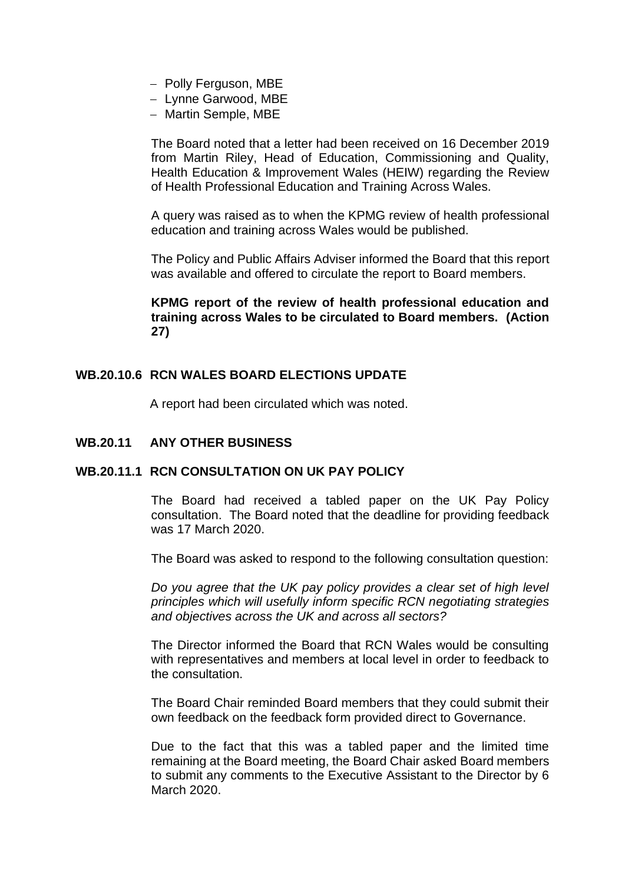- − Polly Ferguson, MBE
- − Lynne Garwood, MBE
- − Martin Semple, MBE

The Board noted that a letter had been received on 16 December 2019 from Martin Riley, Head of Education, Commissioning and Quality, Health Education & Improvement Wales (HEIW) regarding the Review of Health Professional Education and Training Across Wales.

A query was raised as to when the KPMG review of health professional education and training across Wales would be published.

The Policy and Public Affairs Adviser informed the Board that this report was available and offered to circulate the report to Board members.

## **KPMG report of the review of health professional education and training across Wales to be circulated to Board members. (Action 27)**

## **WB.20.10.6 RCN WALES BOARD ELECTIONS UPDATE**

A report had been circulated which was noted.

## **WB.20.11 ANY OTHER BUSINESS**

## **WB.20.11.1 RCN CONSULTATION ON UK PAY POLICY**

The Board had received a tabled paper on the UK Pay Policy consultation. The Board noted that the deadline for providing feedback was 17 March 2020.

The Board was asked to respond to the following consultation question:

*Do you agree that the UK pay policy provides a clear set of high level principles which will usefully inform specific RCN negotiating strategies and objectives across the UK and across all sectors?* 

The Director informed the Board that RCN Wales would be consulting with representatives and members at local level in order to feedback to the consultation.

The Board Chair reminded Board members that they could submit their own feedback on the feedback form provided direct to Governance.

Due to the fact that this was a tabled paper and the limited time remaining at the Board meeting, the Board Chair asked Board members to submit any comments to the Executive Assistant to the Director by 6 March 2020.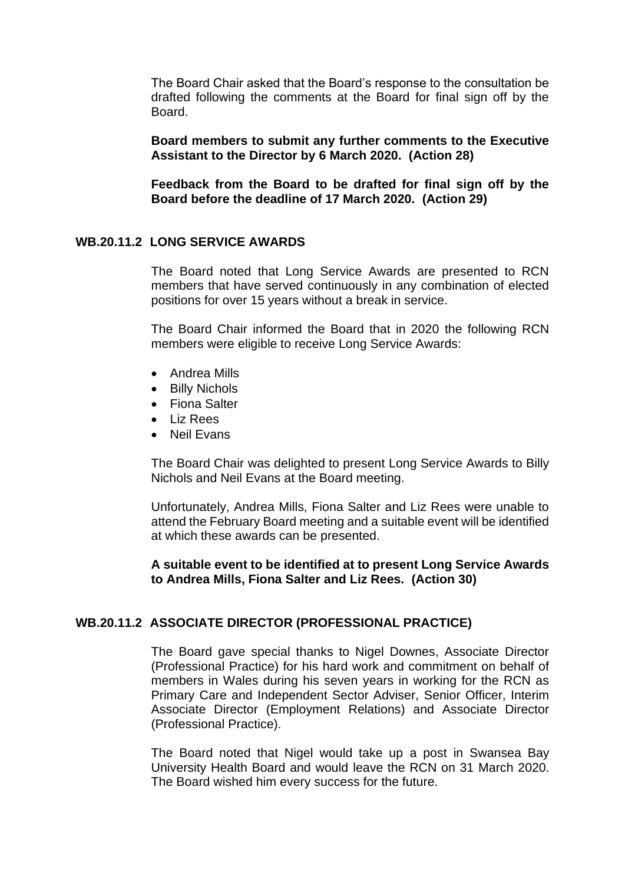The Board Chair asked that the Board's response to the consultation be drafted following the comments at the Board for final sign off by the Board.

**Board members to submit any further comments to the Executive Assistant to the Director by 6 March 2020. (Action 28)**

**Feedback from the Board to be drafted for final sign off by the Board before the deadline of 17 March 2020. (Action 29)**

#### **WB.20.11.2 LONG SERVICE AWARDS**

The Board noted that Long Service Awards are presented to RCN members that have served continuously in any combination of elected positions for over 15 years without a break in service.

The Board Chair informed the Board that in 2020 the following RCN members were eligible to receive Long Service Awards:

- Andrea Mills
- Billy Nichols
- Fiona Salter
- Liz Rees
- Neil Evans

The Board Chair was delighted to present Long Service Awards to Billy Nichols and Neil Evans at the Board meeting.

Unfortunately, Andrea Mills, Fiona Salter and Liz Rees were unable to attend the February Board meeting and a suitable event will be identified at which these awards can be presented.

#### **A suitable event to be identified at to present Long Service Awards to Andrea Mills, Fiona Salter and Liz Rees. (Action 30)**

#### **WB.20.11.2 ASSOCIATE DIRECTOR (PROFESSIONAL PRACTICE)**

The Board gave special thanks to Nigel Downes, Associate Director (Professional Practice) for his hard work and commitment on behalf of members in Wales during his seven years in working for the RCN as Primary Care and Independent Sector Adviser, Senior Officer, Interim Associate Director (Employment Relations) and Associate Director (Professional Practice).

The Board noted that Nigel would take up a post in Swansea Bay University Health Board and would leave the RCN on 31 March 2020. The Board wished him every success for the future.